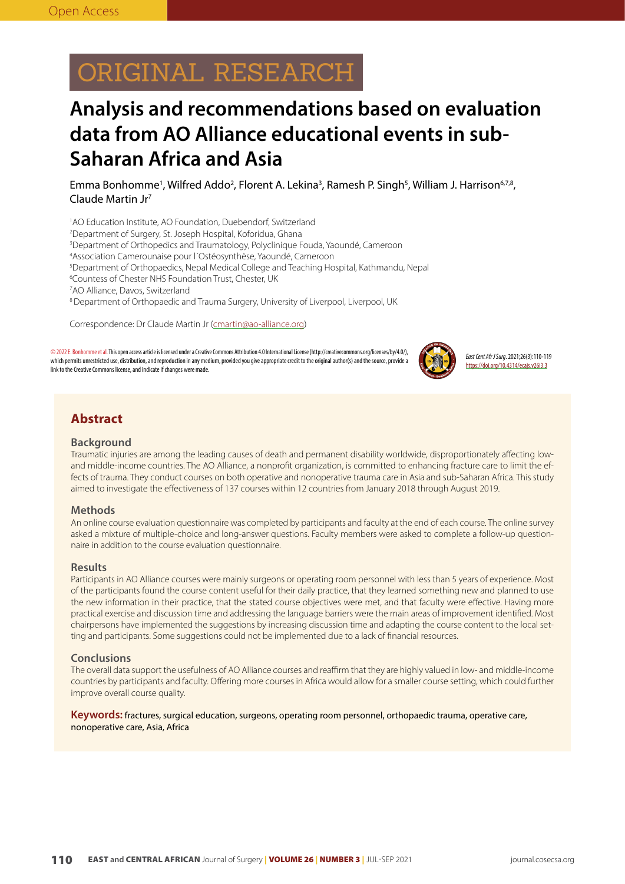# ORIGINAL RESEARCH

## **Analysis and recommendations based on evaluation data from AO Alliance educational events in sub-Saharan Africa and Asia**

Emma Bonhomme<sup>1</sup>, Wilfred Addo<sup>2</sup>, Florent A. Lekina<sup>3</sup>, Ramesh P. Singh<sup>5</sup>, William J. Harrison<sup>6,7,8</sup>, Claude Martin Jr7

1 AO Education Institute, AO Foundation, Duebendorf, Switzerland

- 2 Department of Surgery, St. Joseph Hospital, Koforidua, Ghana
- 3 Department of Orthopedics and Traumatology, Polyclinique Fouda, Yaoundé, Cameroon
- 4 Association Camerounaise pour l´Ostéosynthèse, Yaoundé, Cameroon
- 5 Department of Orthopaedics, Nepal Medical College and Teaching Hospital, Kathmandu, Nepal
- 6 Countess of Chester NHS Foundation Trust, Chester, UK
- 7 AO Alliance, Davos, Switzerland
- 8 Department of Orthopaedic and Trauma Surgery, University of Liverpool, Liverpool, UK

Correspondence: Dr Claude Martin Jr (cmartin@ao-alliance.org)

©2022 E. Bonhomme et al. This open access article is licensed under a Creative Commons Attribution 4.0 International License (http://creativecommons.org/licenses/by/4.0/), which permits unrestricted use, distribution, and reproduction in any medium, provided you give appropriate credit to the original author(s) and the source, provide a link to the Creative Commons license, and indicate if changes were made.



*East Cent Afr J Surg*. 2021;26(3):110-119 https://doi.org/10.4314/ecajs.v26i3.3

## **Abstract**

#### **Background**

Traumatic injuries are among the leading causes of death and permanent disability worldwide, disproportionately affecting lowand middle-income countries. The AO Alliance, a nonprofit organization, is committed to enhancing fracture care to limit the effects of trauma. They conduct courses on both operative and nonoperative trauma care in Asia and sub-Saharan Africa. This study aimed to investigate the effectiveness of 137 courses within 12 countries from January 2018 through August 2019.

## **Methods**

An online course evaluation questionnaire was completed by participants and faculty at the end of each course. The online survey asked a mixture of multiple-choice and long-answer questions. Faculty members were asked to complete a follow-up questionnaire in addition to the course evaluation questionnaire.

#### **Results**

Participants in AO Alliance courses were mainly surgeons or operating room personnel with less than 5 years of experience. Most of the participants found the course content useful for their daily practice, that they learned something new and planned to use the new information in their practice, that the stated course objectives were met, and that faculty were effective. Having more practical exercise and discussion time and addressing the language barriers were the main areas of improvement identified. Most chairpersons have implemented the suggestions by increasing discussion time and adapting the course content to the local setting and participants. Some suggestions could not be implemented due to a lack of financial resources.

#### **Conclusions**

The overall data support the usefulness of AO Alliance courses and reaffirm that they are highly valued in low- and middle-income countries by participants and faculty. Offering more courses in Africa would allow for a smaller course setting, which could further improve overall course quality.

### **Keywords:** fractures, surgical education, surgeons, operating room personnel, orthopaedic trauma, operative care, nonoperative care, Asia, Africa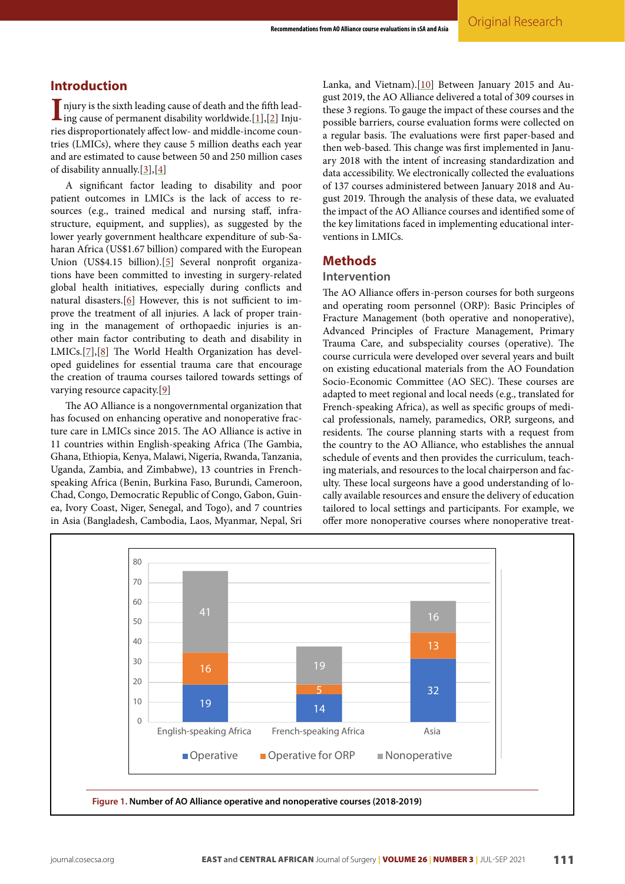## **Introduction**

 $\blacksquare$ njury is the sixth leading cause of death and the fifth leading cause of permanent disability worldwide.[\[1](#page-8-0)],[\[2\]](#page-8-1) Injuries disproportionately affect low- and middle-income countries (LMICs), where they cause 5 million deaths each year and are estimated to cause between 50 and 250 million cases of disability annually.[[3](#page-9-0)],[[4](#page-9-1)]

A significant factor leading to disability and poor patient outcomes in LMICs is the lack of access to resources (e.g., trained medical and nursing staff, infrastructure, equipment, and supplies), as suggested by the lower yearly government healthcare expenditure of sub-Saharan Africa (US\$1.67 billion) compared with the European Union (US\$4.15 billion).[[5](#page-9-2)] Several nonprofit organizations have been committed to investing in surgery-related global health initiatives, especially during conflicts and natural disasters.[[6](#page-9-3)] However, this is not sufficient to improve the treatment of all injuries. A lack of proper training in the management of orthopaedic injuries is another main factor contributing to death and disability in LMICs.[[7\]](#page-9-4),[[8\]](#page-9-5) The World Health Organization has developed guidelines for essential trauma care that encourage the creation of trauma courses tailored towards settings of varying resource capacity.[[9](#page-9-6)]

The AO Alliance is a nongovernmental organization that has focused on enhancing operative and nonoperative fracture care in LMICs since 2015. The AO Alliance is active in 11 countries within English-speaking Africa (The Gambia, Ghana, Ethiopia, Kenya, Malawi, Nigeria, Rwanda, Tanzania, Uganda, Zambia, and Zimbabwe), 13 countries in Frenchspeaking Africa (Benin, Burkina Faso, Burundi, Cameroon, Chad, Congo, Democratic Republic of Congo, Gabon, Guinea, Ivory Coast, Niger, Senegal, and Togo), and 7 countries in Asia (Bangladesh, Cambodia, Laos, Myanmar, Nepal, Sri

Lanka, and Vietnam).[[10](#page-9-7)] Between January 2015 and August 2019, the AO Alliance delivered a total of 309 courses in these 3 regions. To gauge the impact of these courses and the possible barriers, course evaluation forms were collected on a regular basis. The evaluations were first paper-based and then web-based. This change was first implemented in January 2018 with the intent of increasing standardization and data accessibility. We electronically collected the evaluations of 137 courses administered between January 2018 and August 2019. Through the analysis of these data, we evaluated the impact of the AO Alliance courses and identified some of the key limitations faced in implementing educational interventions in LMICs.

## **Methods**

### **Intervention**

The AO Alliance offers in-person courses for both surgeons and operating room personnel (ORP): Basic Principles of Fracture Management (both operative and nonoperative), Advanced Principles of Fracture Management, Primary Trauma Care, and subspeciality courses (operative). The course curricula were developed over several years and built on existing educational materials from the AO Foundation Socio-Economic Committee (AO SEC). These courses are adapted to meet regional and local needs (e.g., translated for French-speaking Africa), as well as specific groups of medical professionals, namely, paramedics, ORP, surgeons, and residents. The course planning starts with a request from the country to the AO Alliance, who establishes the annual schedule of events and then provides the curriculum, teaching materials, and resources to the local chairperson and faculty. These local surgeons have a good understanding of locally available resources and ensure the delivery of education tailored to local settings and participants. For example, we offer more nonoperative courses where nonoperative treat-

<span id="page-1-0"></span>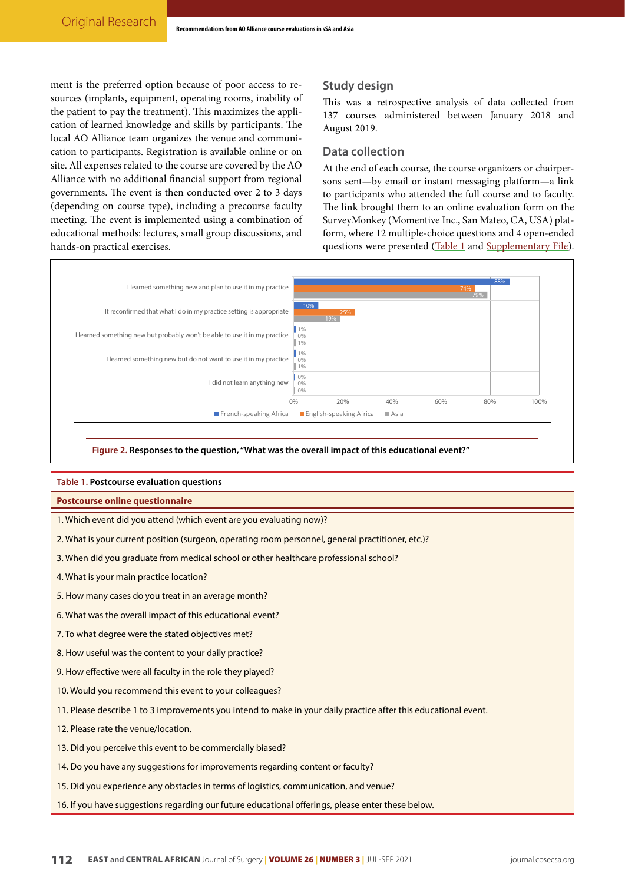ment is the preferred option because of poor access to resources (implants, equipment, operating rooms, inability of the patient to pay the treatment). This maximizes the application of learned knowledge and skills by participants. The local AO Alliance team organizes the venue and communication to participants. Registration is available online or on site. All expenses related to the course are covered by the AO Alliance with no additional financial support from regional governments. The event is then conducted over 2 to 3 days (depending on course type), including a precourse faculty meeting. The event is implemented using a combination of educational methods: lectures, small group discussions, and hands-on practical exercises.

## **Study design**

This was a retrospective analysis of data collected from 137 courses administered between January 2018 and August 2019.

## **Data collection**

At the end of each course, the course organizers or chairpersons sent—by email or instant messaging platform—a link to participants who attended the full course and to faculty. The link brought them to an online evaluation form on the SurveyMonkey (Momentive Inc., San Mateo, CA, USA) platform, where 12 multiple-choice questions and 4 open-ended questions were presented [\(Table 1](#page-2-0) and [Supplementary File](http://journal.cosecsa.org/public/supplementary/20200054/20200054.r0.0-supplementary-file-7556-1-2-20200908.docx)).

<span id="page-2-1"></span>

**Figure 2. Responses to the question, "What was the overall impact of this educational event?"**

## <span id="page-2-0"></span>**Table 1. Postcourse evaluation questions**

#### **Postcourse online questionnaire**

- 1. Which event did you attend (which event are you evaluating now)?
- 2. What is your current position (surgeon, operating room personnel, general practitioner, etc.)?
- 3. When did you graduate from medical school or other healthcare professional school?
- 4. What is your main practice location?
- 5. How many cases do you treat in an average month?
- 6. What was the overall impact of this educational event?
- 7. To what degree were the stated objectives met?
- 8. How useful was the content to your daily practice?
- 9. How effective were all faculty in the role they played?
- 10. Would you recommend this event to your colleagues?
- 11. Please describe 1 to 3 improvements you intend to make in your daily practice after this educational event.
- 12. Please rate the venue/location.
- 13. Did you perceive this event to be commercially biased?
- 14. Do you have any suggestions for improvements regarding content or faculty?
- 15. Did you experience any obstacles in terms of logistics, communication, and venue?
- 16. If you have suggestions regarding our future educational offerings, please enter these below.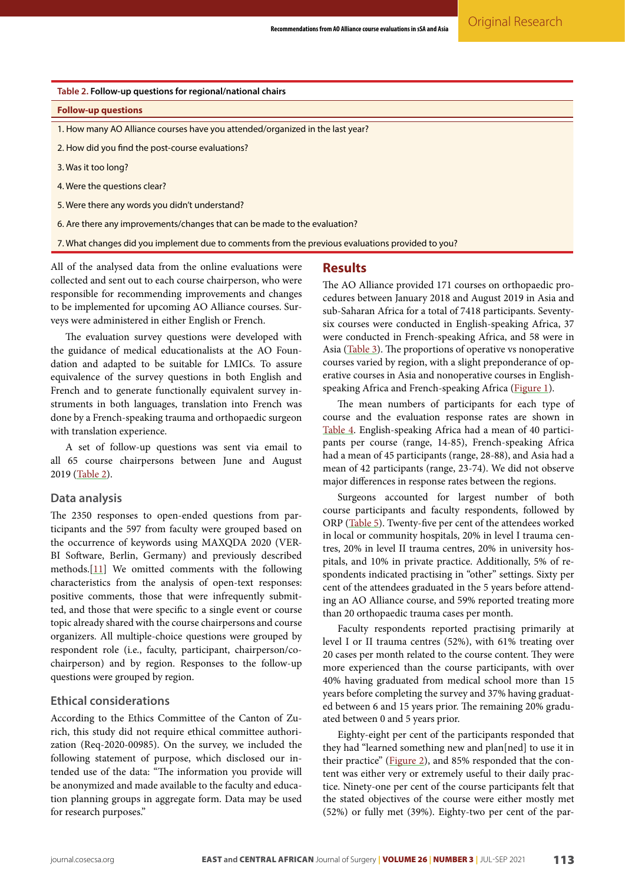<span id="page-3-0"></span>

| Table 2. Follow-up questions for regional/national chairs                                        |
|--------------------------------------------------------------------------------------------------|
| <b>Follow-up questions</b>                                                                       |
| 1. How many AO Alliance courses have you attended/organized in the last year?                    |
| 2. How did you find the post-course evaluations?                                                 |
| 3. Was it too long?                                                                              |
| 4. Were the questions clear?                                                                     |
| 5. Were there any words you didn't understand?                                                   |
| 6. Are there any improvements/changes that can be made to the evaluation?                        |
| 7. What changes did you implement due to comments from the previous evaluations provided to you? |

All of the analysed data from the online evaluations were collected and sent out to each course chairperson, who were responsible for recommending improvements and changes to be implemented for upcoming AO Alliance courses. Surveys were administered in either English or French.

The evaluation survey questions were developed with the guidance of medical educationalists at the AO Foundation and adapted to be suitable for LMICs. To assure equivalence of the survey questions in both English and French and to generate functionally equivalent survey instruments in both languages, translation into French was done by a French-speaking trauma and orthopaedic surgeon with translation experience.

A set of follow-up questions was sent via email to all 65 course chairpersons between June and August 2019 [\(Table 2\)](#page-3-0).

## **Data analysis**

The 2350 responses to open-ended questions from participants and the 597 from faculty were grouped based on the occurrence of keywords using MAXQDA 2020 (VER-BI Software, Berlin, Germany) and previously described methods. $[11]$  $[11]$  $[11]$  We omitted comments with the following characteristics from the analysis of open-text responses: positive comments, those that were infrequently submitted, and those that were specific to a single event or course topic already shared with the course chairpersons and course organizers. All multiple-choice questions were grouped by respondent role (i.e., faculty, participant, chairperson/cochairperson) and by region. Responses to the follow-up questions were grouped by region.

## **Ethical considerations**

According to the Ethics Committee of the Canton of Zurich, this study did not require ethical committee authorization (Req-2020-00985). On the survey, we included the following statement of purpose, which disclosed our intended use of the data: "The information you provide will be anonymized and made available to the faculty and education planning groups in aggregate form. Data may be used for research purposes."

## **Results**

The AO Alliance provided 171 courses on orthopaedic procedures between January 2018 and August 2019 in Asia and sub-Saharan Africa for a total of 7418 participants. Seventysix courses were conducted in English-speaking Africa, 37 were conducted in French-speaking Africa, and 58 were in Asia ([Table 3](#page-4-0)). The proportions of operative vs nonoperative courses varied by region, with a slight preponderance of operative courses in Asia and nonoperative courses in Englishspeaking Africa and French-speaking Africa ([Figure 1\)](#page-1-0).

The mean numbers of participants for each type of course and the evaluation response rates are shown in [Table 4.](#page-5-0) English-speaking Africa had a mean of 40 participants per course (range, 14-85), French-speaking Africa had a mean of 45 participants (range, 28-88), and Asia had a mean of 42 participants (range, 23-74). We did not observe major differences in response rates between the regions.

Surgeons accounted for largest number of both course participants and faculty respondents, followed by ORP [\(Table 5\)](#page-5-1). Twenty-five per cent of the attendees worked in local or community hospitals, 20% in level I trauma centres, 20% in level II trauma centres, 20% in university hospitals, and 10% in private practice. Additionally, 5% of respondents indicated practising in "other" settings. Sixty per cent of the attendees graduated in the 5 years before attending an AO Alliance course, and 59% reported treating more than 20 orthopaedic trauma cases per month.

Faculty respondents reported practising primarily at level I or II trauma centres (52%), with 61% treating over 20 cases per month related to the course content. They were more experienced than the course participants, with over 40% having graduated from medical school more than 15 years before completing the survey and 37% having graduated between 6 and 15 years prior. The remaining 20% graduated between 0 and 5 years prior.

Eighty-eight per cent of the participants responded that they had "learned something new and plan[ned] to use it in their practice" ([Figure 2](#page-2-1)), and 85% responded that the content was either very or extremely useful to their daily practice. Ninety-one per cent of the course participants felt that the stated objectives of the course were either mostly met (52%) or fully met (39%). Eighty-two per cent of the par-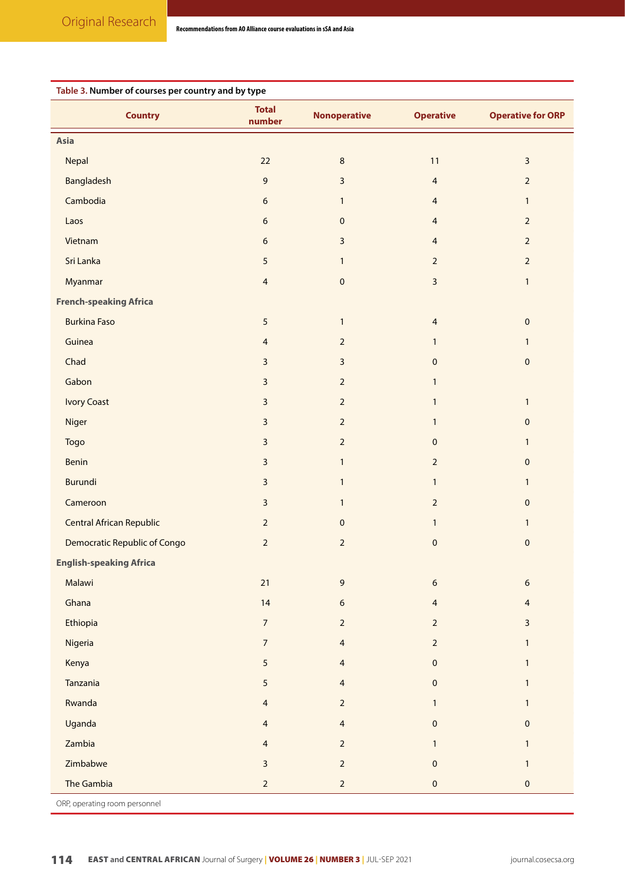<span id="page-4-0"></span>

| Table 3. Number of courses per country and by type |                         |                     |                         |                          |
|----------------------------------------------------|-------------------------|---------------------|-------------------------|--------------------------|
| <b>Country</b>                                     | <b>Total</b><br>number  | <b>Nonoperative</b> | <b>Operative</b>        | <b>Operative for ORP</b> |
| <b>Asia</b>                                        |                         |                     |                         |                          |
| Nepal                                              | 22                      | $\,8\,$             | 11                      | $\overline{\mathbf{3}}$  |
| Bangladesh                                         | $\mathsf 9$             | $\mathbf{3}$        | $\overline{4}$          | $\overline{2}$           |
| Cambodia                                           | 6                       | $\mathbf{1}$        | $\overline{4}$          | $\mathbf{1}$             |
| Laos                                               | 6                       | $\pmb{0}$           | $\overline{4}$          | $\overline{2}$           |
| Vietnam                                            | 6                       | $\mathbf{3}$        | $\overline{4}$          | $\overline{2}$           |
| Sri Lanka                                          | $\sqrt{5}$              | $\mathbf{1}$        | $\overline{2}$          | $\overline{2}$           |
| Myanmar                                            | $\overline{4}$          | $\pmb{0}$           | $\overline{\mathbf{3}}$ | $\mathbf{1}$             |
| <b>French-speaking Africa</b>                      |                         |                     |                         |                          |
| <b>Burkina Faso</b>                                | 5                       | $\mathbf{1}$        | $\overline{4}$          | $\pmb{0}$                |
| Guinea                                             | $\overline{4}$          | $\overline{2}$      | $\mathbf{1}$            | $\mathbf{1}$             |
| Chad                                               | $\mathsf{3}$            | $\mathbf{3}$        | $\pmb{0}$               | $\pmb{0}$                |
| Gabon                                              | 3                       | $\overline{2}$      | $\mathbf{1}$            |                          |
| <b>Ivory Coast</b>                                 | 3                       | $\overline{2}$      | $\mathbf{1}$            | $\mathbf{1}$             |
| Niger                                              | 3                       | $\overline{2}$      | $\mathbf{1}$            | $\pmb{0}$                |
| Togo                                               | $\overline{\mathbf{3}}$ | $\overline{2}$      | $\pmb{0}$               | $\mathbf{1}$             |
| Benin                                              | $\mathbf{3}$            | $\mathbf{1}$        | $\overline{2}$          | $\pmb{0}$                |
| <b>Burundi</b>                                     | 3                       | $\mathbf{1}$        | $\mathbf{1}$            | $\mathbf{1}$             |
| Cameroon                                           | $\overline{\mathbf{3}}$ | $\mathbf{1}$        | $\overline{2}$          | $\pmb{0}$                |
| <b>Central African Republic</b>                    | $\overline{2}$          | $\pmb{0}$           | $\mathbf{1}$            | $\mathbf{1}$             |
| <b>Democratic Republic of Congo</b>                | $\overline{2}$          | $\mathbf 2$         | $\mathbf 0$             | $\pmb{0}$                |
| <b>English-speaking Africa</b>                     |                         |                     |                         |                          |
| Malawi                                             | 21                      | $\mathsf 9$         | $\boldsymbol{6}$        | 6                        |
| Ghana                                              | 14                      | $\boldsymbol{6}$    | $\overline{4}$          | 4                        |
| Ethiopia                                           | $\overline{7}$          | $\overline{2}$      | $\overline{2}$          | 3                        |
| Nigeria                                            | $\overline{7}$          | $\overline{4}$      | $\overline{2}$          | $\mathbf{1}$             |
| Kenya                                              | 5                       | $\overline{4}$      | $\pmb{0}$               | $\mathbf{1}$             |
| Tanzania                                           | $\sqrt{5}$              | $\overline{4}$      | $\pmb{0}$               | $\mathbf{1}$             |
| Rwanda                                             | $\overline{4}$          | $\overline{2}$      | $\mathbf{1}$            | $\mathbf{1}$             |
| Uganda                                             | 4                       | $\overline{4}$      | $\pmb{0}$               | $\pmb{0}$                |
| Zambia                                             | $\overline{4}$          | $\overline{2}$      | $\mathbf{1}$            | $\mathbf{1}$             |
| Zimbabwe                                           | $\overline{\mathbf{3}}$ | $\overline{2}$      | $\pmb{0}$               | $\mathbf{1}$             |
| The Gambia                                         | $\overline{2}$          | $\overline{2}$      | $\pmb{0}$               | $\pmb{0}$                |

ORP, operating room personnel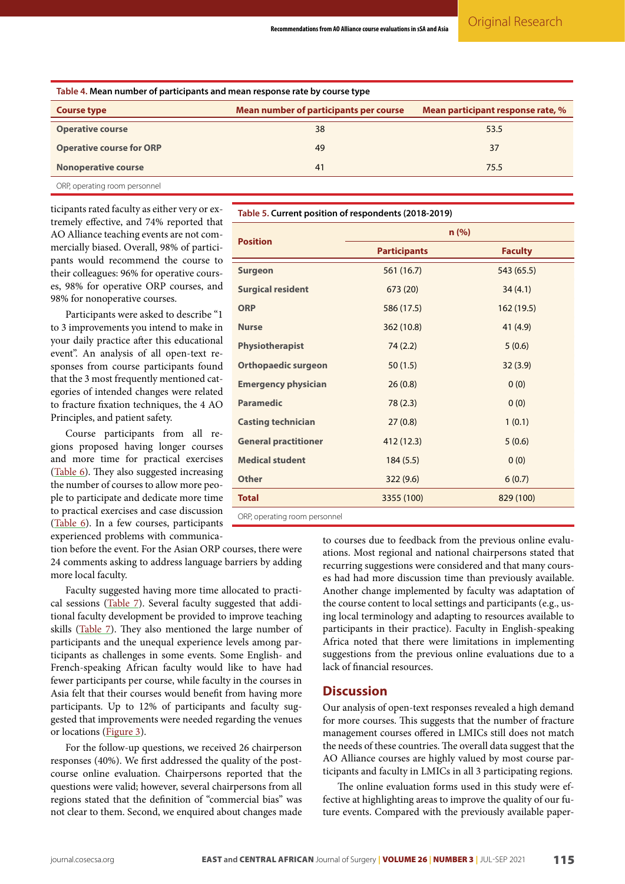<span id="page-5-0"></span>

| Table 4. Mean number of participants and mean response rate by course type |                                                                             |      |  |  |
|----------------------------------------------------------------------------|-----------------------------------------------------------------------------|------|--|--|
| <b>Course type</b>                                                         | Mean number of participants per course<br>Mean participant response rate, % |      |  |  |
| <b>Operative course</b>                                                    | 38                                                                          | 53.5 |  |  |
| <b>Operative course for ORP</b>                                            | 49                                                                          | 37   |  |  |
| <b>Nonoperative course</b>                                                 | 41                                                                          | 75.5 |  |  |
| ORP, operating room personnel                                              |                                                                             |      |  |  |

ticipants rated faculty as either very or extremely effective, and 74% reported that AO Alliance teaching events are not commercially biased. Overall, 98% of participants would recommend the course to their colleagues: 96% for operative courses, 98% for operative ORP courses, and 98% for nonoperative courses.

Participants were asked to describe "1 to 3 improvements you intend to make in your daily practice after this educational event". An analysis of all open-text responses from course participants found that the 3 most frequently mentioned categories of intended changes were related to fracture fixation techniques, the 4 AO Principles, and patient safety.

Course participants from all regions proposed having longer courses and more time for practical exercises ([Table 6\)](#page-6-0). They also suggested increasing the number of courses to allow more people to participate and dedicate more time to practical exercises and case discussion ([Table 6](#page-6-0)). In a few courses, participants experienced problems with communica-

tion before the event. For the Asian ORP courses, there were 24 comments asking to address language barriers by adding more local faculty.

Faculty suggested having more time allocated to practical sessions [\(Table 7](#page-7-0)). Several faculty suggested that additional faculty development be provided to improve teaching skills [\(Table 7](#page-7-0)). They also mentioned the large number of participants and the unequal experience levels among participants as challenges in some events. Some English- and French-speaking African faculty would like to have had fewer participants per course, while faculty in the courses in Asia felt that their courses would benefit from having more participants. Up to 12% of participants and faculty suggested that improvements were needed regarding the venues or locations ([Figure 3\)](#page-8-2).

For the follow-up questions, we received 26 chairperson responses (40%). We first addressed the quality of the postcourse online evaluation. Chairpersons reported that the questions were valid; however, several chairpersons from all regions stated that the definition of "commercial bias" was not clear to them. Second, we enquired about changes made

<span id="page-5-1"></span>**Table 5. Current position of respondents (2018-2019)**

| <b>Position</b>             | n(% )               |                |  |
|-----------------------------|---------------------|----------------|--|
|                             | <b>Participants</b> | <b>Faculty</b> |  |
| <b>Surgeon</b>              | 561 (16.7)          | 543 (65.5)     |  |
| <b>Surgical resident</b>    | 673 (20)            | 34(4.1)        |  |
| <b>ORP</b>                  | 586 (17.5)          | 162 (19.5)     |  |
| <b>Nurse</b>                | 362 (10.8)          | 41 (4.9)       |  |
| <b>Physiotherapist</b>      | 74(2.2)             | 5(0.6)         |  |
| <b>Orthopaedic surgeon</b>  | 50(1.5)             | 32(3.9)        |  |
| <b>Emergency physician</b>  | 26(0.8)             | 0(0)           |  |
| <b>Paramedic</b>            | 78(2.3)             | 0(0)           |  |
| <b>Casting technician</b>   | 27(0.8)             | 1(0.1)         |  |
| <b>General practitioner</b> | 412 (12.3)          | 5(0.6)         |  |
| <b>Medical student</b>      | 184(5.5)            | 0(0)           |  |
| <b>Other</b>                | 322(9.6)            | 6(0.7)         |  |
| <b>Total</b>                | 3355 (100)          | 829 (100)      |  |
| $\sim$ $\sim$ $\sim$        |                     |                |  |

ORP, operating room personnel

to courses due to feedback from the previous online evaluations. Most regional and national chairpersons stated that recurring suggestions were considered and that many courses had had more discussion time than previously available. Another change implemented by faculty was adaptation of the course content to local settings and participants (e.g., using local terminology and adapting to resources available to participants in their practice). Faculty in English-speaking Africa noted that there were limitations in implementing suggestions from the previous online evaluations due to a lack of financial resources.

## **Discussion**

Our analysis of open-text responses revealed a high demand for more courses. This suggests that the number of fracture management courses offered in LMICs still does not match the needs of these countries. The overall data suggest that the AO Alliance courses are highly valued by most course participants and faculty in LMICs in all 3 participating regions.

The online evaluation forms used in this study were effective at highlighting areas to improve the quality of our future events. Compared with the previously available paper-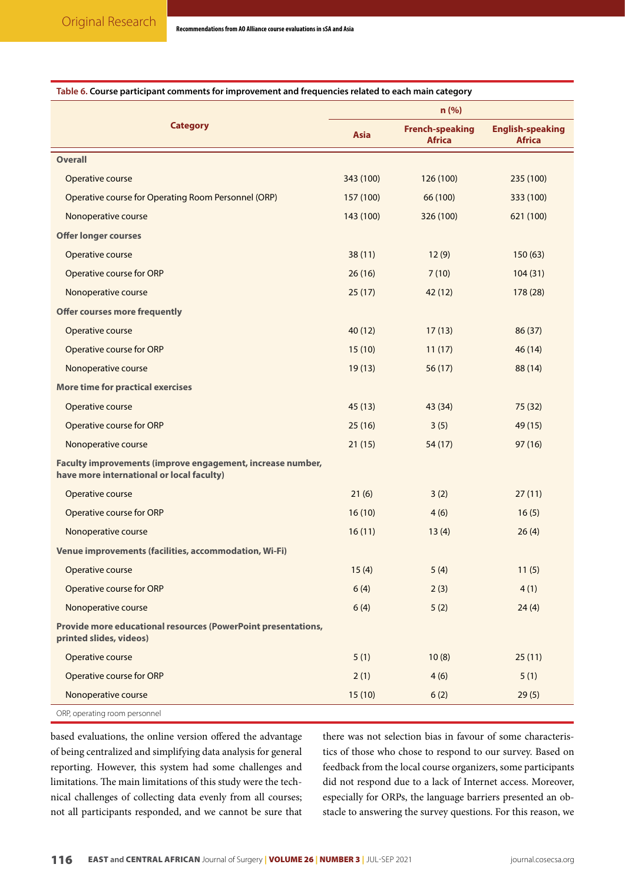| rable of Course participant comments for improvement and requencies related to each main category       | n (% )      |                                         |                                          |
|---------------------------------------------------------------------------------------------------------|-------------|-----------------------------------------|------------------------------------------|
| <b>Category</b>                                                                                         | <b>Asia</b> | <b>French-speaking</b><br><b>Africa</b> | <b>English-speaking</b><br><b>Africa</b> |
| <b>Overall</b>                                                                                          |             |                                         |                                          |
| Operative course                                                                                        | 343 (100)   | 126 (100)                               | 235 (100)                                |
| Operative course for Operating Room Personnel (ORP)                                                     | 157 (100)   | 66 (100)                                | 333 (100)                                |
| Nonoperative course                                                                                     | 143 (100)   | 326 (100)                               | 621 (100)                                |
| <b>Offer longer courses</b>                                                                             |             |                                         |                                          |
| Operative course                                                                                        | 38(11)      | 12(9)                                   | 150(63)                                  |
| Operative course for ORP                                                                                | 26(16)      | 7(10)                                   | 104(31)                                  |
| Nonoperative course                                                                                     | 25(17)      | 42 (12)                                 | 178 (28)                                 |
| <b>Offer courses more frequently</b>                                                                    |             |                                         |                                          |
| Operative course                                                                                        | 40(12)      | 17(13)                                  | 86 (37)                                  |
| Operative course for ORP                                                                                | 15(10)      | 11(17)                                  | 46(14)                                   |
| Nonoperative course                                                                                     | 19(13)      | 56(17)                                  | 88 (14)                                  |
| <b>More time for practical exercises</b>                                                                |             |                                         |                                          |
| Operative course                                                                                        | 45(13)      | 43 (34)                                 | 75(32)                                   |
| Operative course for ORP                                                                                | 25(16)      | 3(5)                                    | 49 (15)                                  |
| Nonoperative course                                                                                     | 21(15)      | 54 (17)                                 | 97 (16)                                  |
| Faculty improvements (improve engagement, increase number,<br>have more international or local faculty) |             |                                         |                                          |
| Operative course                                                                                        | 21(6)       | 3(2)                                    | 27(11)                                   |
| Operative course for ORP                                                                                | 16(10)      | 4(6)                                    | 16(5)                                    |
| Nonoperative course                                                                                     | 16(11)      | 13(4)                                   | 26(4)                                    |
| Venue improvements (facilities, accommodation, Wi-Fi)                                                   |             |                                         |                                          |
| Operative course                                                                                        | 15(4)       | 5(4)                                    | 11(5)                                    |
| Operative course for ORP                                                                                | 6(4)        | 2(3)                                    | 4(1)                                     |
| Nonoperative course                                                                                     | 6(4)        | 5(2)                                    | 24(4)                                    |
| Provide more educational resources (PowerPoint presentations,<br>printed slides, videos)                |             |                                         |                                          |
| Operative course                                                                                        | 5(1)        | 10(8)                                   | 25(11)                                   |
| Operative course for ORP                                                                                | 2(1)        | 4(6)                                    | 5(1)                                     |
| Nonoperative course                                                                                     | 15(10)      | 6(2)                                    | 29(5)                                    |
| ORP, operating room personnel                                                                           |             |                                         |                                          |

## <span id="page-6-0"></span>**Table 6. Course participant comments for improvement and frequencies related to each main category**

based evaluations, the online version offered the advantage of being centralized and simplifying data analysis for general reporting. However, this system had some challenges and limitations. The main limitations of this study were the technical challenges of collecting data evenly from all courses; not all participants responded, and we cannot be sure that

there was not selection bias in favour of some characteristics of those who chose to respond to our survey. Based on feedback from the local course organizers, some participants did not respond due to a lack of Internet access. Moreover, especially for ORPs, the language barriers presented an obstacle to answering the survey questions. For this reason, we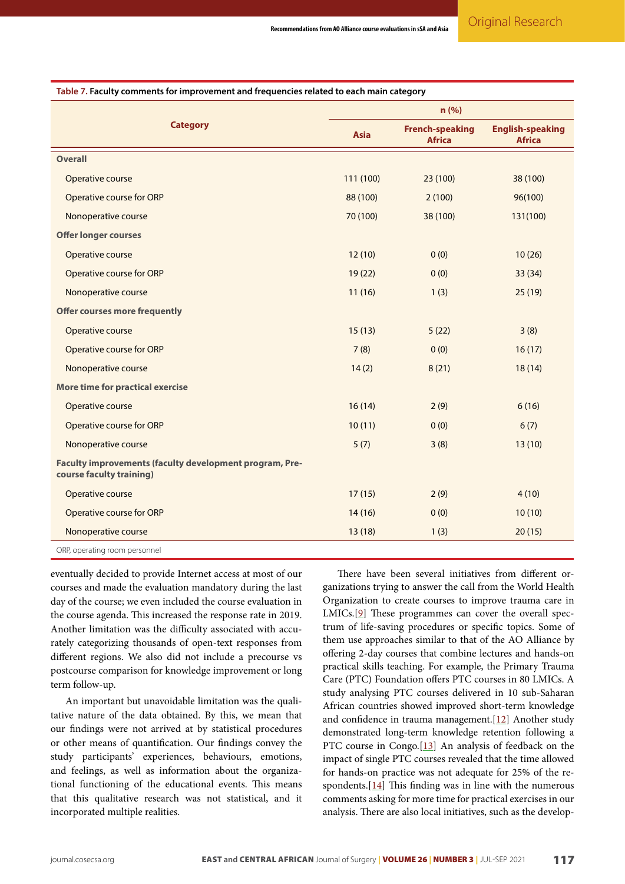|                                                                                     | n (%)       |                                         |                                          |
|-------------------------------------------------------------------------------------|-------------|-----------------------------------------|------------------------------------------|
| <b>Category</b>                                                                     | <b>Asia</b> | <b>French-speaking</b><br><b>Africa</b> | <b>English-speaking</b><br><b>Africa</b> |
| <b>Overall</b>                                                                      |             |                                         |                                          |
| Operative course                                                                    | 111 (100)   | 23 (100)                                | 38 (100)                                 |
| Operative course for ORP                                                            | 88 (100)    | 2(100)                                  | 96(100)                                  |
| Nonoperative course                                                                 | 70 (100)    | 38 (100)                                | 131(100)                                 |
| <b>Offer longer courses</b>                                                         |             |                                         |                                          |
| Operative course                                                                    | 12(10)      | 0(0)                                    | 10(26)                                   |
| Operative course for ORP                                                            | 19(22)      | 0(0)                                    | 33 (34)                                  |
| Nonoperative course                                                                 | 11(16)      | 1(3)                                    | 25(19)                                   |
| <b>Offer courses more frequently</b>                                                |             |                                         |                                          |
| Operative course                                                                    | 15(13)      | 5(22)                                   | 3(8)                                     |
| Operative course for ORP                                                            | 7(8)        | 0(0)                                    | 16(17)                                   |
| Nonoperative course                                                                 | 14(2)       | 8(21)                                   | 18(14)                                   |
| More time for practical exercise                                                    |             |                                         |                                          |
| Operative course                                                                    | 16(14)      | 2(9)                                    | 6(16)                                    |
| Operative course for ORP                                                            | 10(11)      | 0(0)                                    | 6(7)                                     |
| Nonoperative course                                                                 | 5(7)        | 3(8)                                    | 13(10)                                   |
| Faculty improvements (faculty development program, Pre-<br>course faculty training) |             |                                         |                                          |
| <b>Operative course</b>                                                             | 17(15)      | 2(9)                                    | 4(10)                                    |
| Operative course for ORP                                                            | 14(16)      | 0(0)                                    | 10(10)                                   |
| Nonoperative course                                                                 | 13(18)      | 1(3)                                    | 20(15)                                   |
| ORP, operating room personnel                                                       |             |                                         |                                          |

<span id="page-7-0"></span>**Table 7. Faculty comments for improvement and frequencies related to each main category**

eventually decided to provide Internet access at most of our courses and made the evaluation mandatory during the last day of the course; we even included the course evaluation in the course agenda. This increased the response rate in 2019. Another limitation was the difficulty associated with accurately categorizing thousands of open-text responses from different regions. We also did not include a precourse vs postcourse comparison for knowledge improvement or long term follow-up.

An important but unavoidable limitation was the qualitative nature of the data obtained. By this, we mean that our findings were not arrived at by statistical procedures or other means of quantification. Our findings convey the study participants' experiences, behaviours, emotions, and feelings, as well as information about the organizational functioning of the educational events. This means that this qualitative research was not statistical, and it incorporated multiple realities.

There have been several initiatives from different organizations trying to answer the call from the World Health Organization to create courses to improve trauma care in LMICs.[\[9\]](#page-9-6) These programmes can cover the overall spectrum of life-saving procedures or specific topics. Some of them use approaches similar to that of the AO Alliance by offering 2-day courses that combine lectures and hands-on practical skills teaching. For example, the Primary Trauma Care (PTC) Foundation offers PTC courses in 80 LMICs. A study analysing PTC courses delivered in 10 sub-Saharan African countries showed improved short-term knowledge and confidence in trauma management.[[12](#page-9-9)] Another study demonstrated long-term knowledge retention following a PTC course in Congo.<sup>[\[13\]](#page-9-10)</sup> An analysis of feedback on the impact of single PTC courses revealed that the time allowed for hands-on practice was not adequate for 25% of the respondents.[\[14\]](#page-9-11) This finding was in line with the numerous comments asking for more time for practical exercises in our analysis. There are also local initiatives, such as the develop-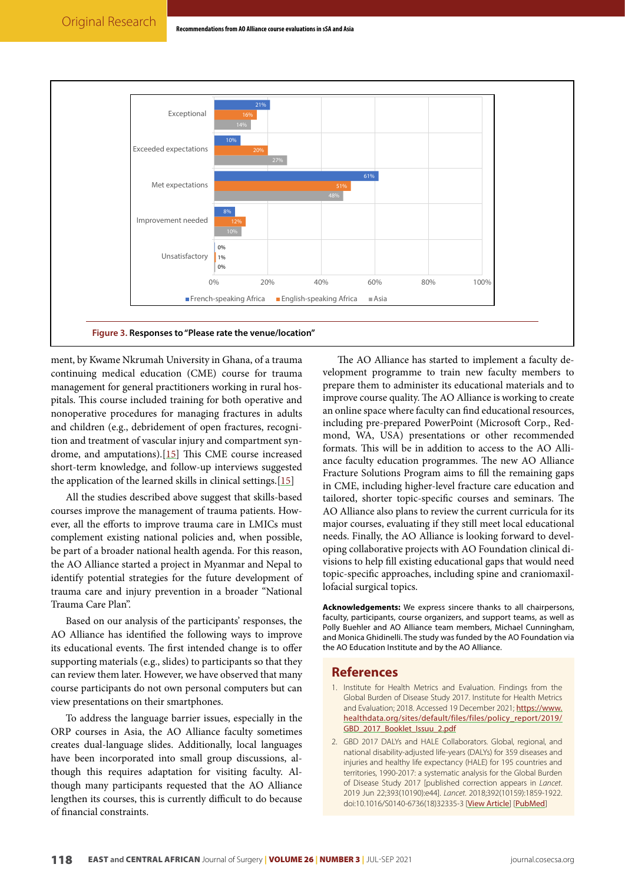<span id="page-8-2"></span>

ment, by Kwame Nkrumah University in Ghana, of a trauma continuing medical education (CME) course for trauma management for general practitioners working in rural hospitals. This course included training for both operative and nonoperative procedures for managing fractures in adults and children (e.g., debridement of open fractures, recognition and treatment of vascular injury and compartment syndrome, and amputations).[\[15\]](#page-9-12) This CME course increased short-term knowledge, and follow-up interviews suggested the application of the learned skills in clinical settings.[\[15\]](#page-9-12)

All the studies described above suggest that skills-based courses improve the management of trauma patients. However, all the efforts to improve trauma care in LMICs must complement existing national policies and, when possible, be part of a broader national health agenda. For this reason, the AO Alliance started a project in Myanmar and Nepal to identify potential strategies for the future development of trauma care and injury prevention in a broader "National Trauma Care Plan".

Based on our analysis of the participants' responses, the AO Alliance has identified the following ways to improve its educational events. The first intended change is to offer supporting materials (e.g., slides) to participants so that they can review them later. However, we have observed that many course participants do not own personal computers but can view presentations on their smartphones.

To address the language barrier issues, especially in the ORP courses in Asia, the AO Alliance faculty sometimes creates dual-language slides. Additionally, local languages have been incorporated into small group discussions, although this requires adaptation for visiting faculty. Although many participants requested that the AO Alliance lengthen its courses, this is currently difficult to do because of financial constraints.

The AO Alliance has started to implement a faculty development programme to train new faculty members to prepare them to administer its educational materials and to improve course quality. The AO Alliance is working to create an online space where faculty can find educational resources, including pre-prepared PowerPoint (Microsoft Corp., Redmond, WA, USA) presentations or other recommended formats. This will be in addition to access to the AO Alliance faculty education programmes. The new AO Alliance Fracture Solutions Program aims to fill the remaining gaps in CME, including higher-level fracture care education and tailored, shorter topic-specific courses and seminars. The AO Alliance also plans to review the current curricula for its major courses, evaluating if they still meet local educational needs. Finally, the AO Alliance is looking forward to developing collaborative projects with AO Foundation clinical divisions to help fill existing educational gaps that would need topic-specific approaches, including spine and craniomaxillofacial surgical topics.

**Acknowledgements:** We express sincere thanks to all chairpersons, faculty, participants, course organizers, and support teams, as well as Polly Buehler and AO Alliance team members, Michael Cunningham, and Monica Ghidinelli. The study was funded by the AO Foundation via the AO Education Institute and by the AO Alliance.

#### **References**

- <span id="page-8-0"></span>1. Institute for Health Metrics and Evaluation. Findings from the Global Burden of Disease Study 2017. Institute for Health Metrics and Evaluation; 2018. Accessed 19 December 2021; [https://www.](file:////Users/nduge/Google%20Drive%20(asst_editor@cosecsa.org)/ecajs/ecajs-submissions/ecajs-20200054/production/copyediting-211219/c0/Institute%20for%20Health%20Metrics%20and%20Evaluation.%20Findings%20from%20the%20Global%20Burden%20of%20Disease%20Study%202017.%20Institute%20for%20Health%20Metrics%20and%20Evaluation;%202018.%20Accessed%2019%20December%202021;%20https:/www.healthdata.org/sites/default/files/files/policy_report/2019/GBD_2017_Booklet_Issuu_2.pdf) [healthdata.org/sites/default/files/files/policy\\_report/2019/](file:////Users/nduge/Google%20Drive%20(asst_editor@cosecsa.org)/ecajs/ecajs-submissions/ecajs-20200054/production/copyediting-211219/c0/Institute%20for%20Health%20Metrics%20and%20Evaluation.%20Findings%20from%20the%20Global%20Burden%20of%20Disease%20Study%202017.%20Institute%20for%20Health%20Metrics%20and%20Evaluation;%202018.%20Accessed%2019%20December%202021;%20https:/www.healthdata.org/sites/default/files/files/policy_report/2019/GBD_2017_Booklet_Issuu_2.pdf) [GBD\\_2017\\_Booklet\\_Issuu\\_2.pdf](file:////Users/nduge/Google%20Drive%20(asst_editor@cosecsa.org)/ecajs/ecajs-submissions/ecajs-20200054/production/copyediting-211219/c0/Institute%20for%20Health%20Metrics%20and%20Evaluation.%20Findings%20from%20the%20Global%20Burden%20of%20Disease%20Study%202017.%20Institute%20for%20Health%20Metrics%20and%20Evaluation;%202018.%20Accessed%2019%20December%202021;%20https:/www.healthdata.org/sites/default/files/files/policy_report/2019/GBD_2017_Booklet_Issuu_2.pdf)
- <span id="page-8-1"></span>2. GBD 2017 DALYs and HALE Collaborators. Global, regional, and national disability-adjusted life-years (DALYs) for 359 diseases and injuries and healthy life expectancy (HALE) for 195 countries and territories, 1990-2017: a systematic analysis for the Global Burden of Disease Study 2017 [published correction appears in *Lancet*. 2019 Jun 22;393(10190):e44]. *Lancet*. 2018;392(10159):1859-1922. doi:10.1016/S0140-6736(18)32335-3 [[View Article](https://doi.org/10.1016/s0140-6736(18)32335-3)] [[PubMed](https://pubmed.ncbi.nlm.nih.gov/30415748/)]